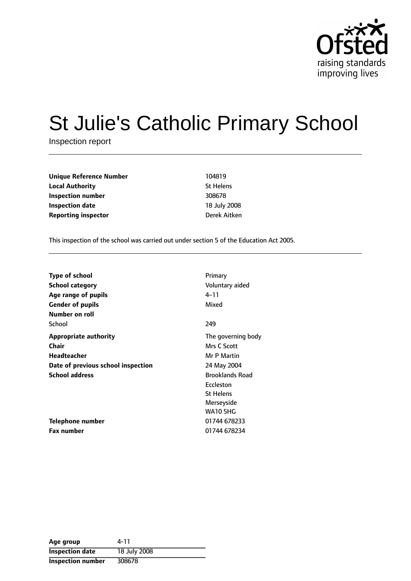

# St Julie's Catholic Primary School

Inspection report

| <b>Unique Reference Number</b> | 104819           |
|--------------------------------|------------------|
| <b>Local Authority</b>         | <b>St Helens</b> |
| Inspection number              | 308678           |
| <b>Inspection date</b>         | 18 July 2008     |
| <b>Reporting inspector</b>     | Derek Aitken     |

This inspection of the school was carried out under section 5 of the Education Act 2005.

| <b>Type of school</b>              | Primary                |
|------------------------------------|------------------------|
| <b>School category</b>             | Voluntary aided        |
| Age range of pupils                | 4–11                   |
| <b>Gender of pupils</b>            | Mixed                  |
| Number on roll                     |                        |
| School                             | 249                    |
| <b>Appropriate authority</b>       | The governing body     |
| Chair                              | Mrs C Scott            |
| Headteacher                        | Mr P Martin            |
| Date of previous school inspection | 24 May 2004            |
| <b>School address</b>              | <b>Brooklands Road</b> |
|                                    | Eccleston              |
|                                    | <b>St Helens</b>       |
|                                    | Merseyside             |
|                                    | <b>WA10 5HG</b>        |
| Telephone number                   | 01744 678233           |
| <b>Fax number</b>                  | 01744 678234           |

| Age group              | 4-11         |
|------------------------|--------------|
| <b>Inspection date</b> | 18 July 2008 |
| Inspection number      | 308678       |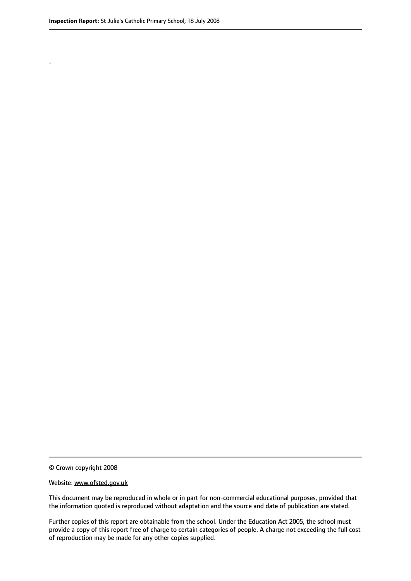.

© Crown copyright 2008

#### Website: www.ofsted.gov.uk

This document may be reproduced in whole or in part for non-commercial educational purposes, provided that the information quoted is reproduced without adaptation and the source and date of publication are stated.

Further copies of this report are obtainable from the school. Under the Education Act 2005, the school must provide a copy of this report free of charge to certain categories of people. A charge not exceeding the full cost of reproduction may be made for any other copies supplied.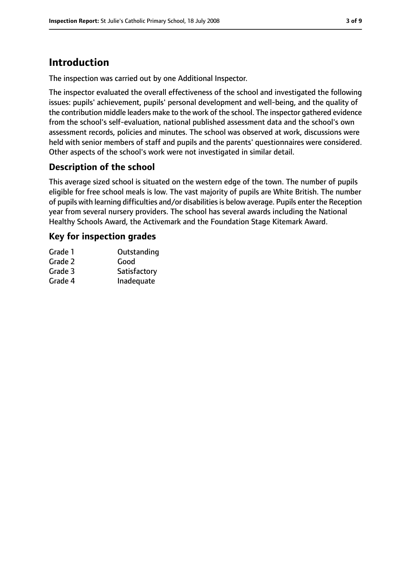# **Introduction**

The inspection was carried out by one Additional Inspector.

The inspector evaluated the overall effectiveness of the school and investigated the following issues: pupils' achievement, pupils' personal development and well-being, and the quality of the contribution middle leaders make to the work of the school. The inspector gathered evidence from the school's self-evaluation, national published assessment data and the school's own assessment records, policies and minutes. The school was observed at work, discussions were held with senior members of staff and pupils and the parents' questionnaires were considered. Other aspects of the school's work were not investigated in similar detail.

#### **Description of the school**

This average sized school is situated on the western edge of the town. The number of pupils eligible for free school meals is low. The vast majority of pupils are White British. The number of pupils with learning difficulties and/or disabilitiesis below average. Pupils enter the Reception year from several nursery providers. The school has several awards including the National Healthy Schools Award, the Activemark and the Foundation Stage Kitemark Award.

## **Key for inspection grades**

| Grade 1 | Outstanding  |
|---------|--------------|
| Grade 2 | Good         |
| Grade 3 | Satisfactory |
| Grade 4 | Inadequate   |
|         |              |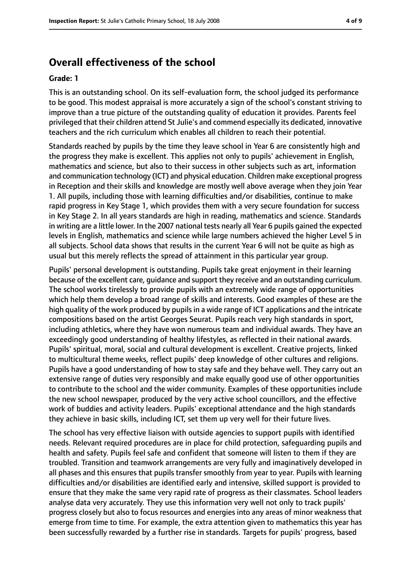## **Overall effectiveness of the school**

#### **Grade: 1**

This is an outstanding school. On its self-evaluation form, the school judged its performance to be good. This modest appraisal is more accurately a sign of the school's constant striving to improve than a true picture of the outstanding quality of education it provides. Parents feel privileged that their children attend St Julie's and commend especially its dedicated, innovative teachers and the rich curriculum which enables all children to reach their potential.

Standards reached by pupils by the time they leave school in Year 6 are consistently high and the progress they make is excellent. This applies not only to pupils' achievement in English, mathematics and science, but also to their success in other subjects such as art, information and communication technology (ICT) and physical education. Children make exceptional progress in Reception and their skills and knowledge are mostly well above average when they join Year 1. All pupils, including those with learning difficulties and/or disabilities, continue to make rapid progress in Key Stage 1, which provides them with a very secure foundation for success in Key Stage 2. In all years standards are high in reading, mathematics and science. Standards in writing are a little lower. In the 2007 national tests nearly all Year 6 pupils gained the expected levels in English, mathematics and science while large numbers achieved the higher Level 5 in all subjects. School data shows that results in the current Year 6 will not be quite as high as usual but this merely reflects the spread of attainment in this particular year group.

Pupils' personal development is outstanding. Pupils take great enjoyment in their learning because of the excellent care, guidance and support they receive and an outstanding curriculum. The school works tirelessly to provide pupils with an extremely wide range of opportunities which help them develop a broad range of skills and interests. Good examples of these are the high quality of the work produced by pupils in a wide range of ICT applications and the intricate compositions based on the artist Georges Seurat. Pupils reach very high standards in sport, including athletics, where they have won numerous team and individual awards. They have an exceedingly good understanding of healthy lifestyles, as reflected in their national awards. Pupils' spiritual, moral, social and cultural development is excellent. Creative projects, linked to multicultural theme weeks, reflect pupils' deep knowledge of other cultures and religions. Pupils have a good understanding of how to stay safe and they behave well. They carry out an extensive range of duties very responsibly and make equally good use of other opportunities to contribute to the school and the wider community. Examples of these opportunities include the new school newspaper, produced by the very active school councillors, and the effective work of buddies and activity leaders. Pupils' exceptional attendance and the high standards they achieve in basic skills, including ICT, set them up very well for their future lives.

The school has very effective liaison with outside agencies to support pupils with identified needs. Relevant required procedures are in place for child protection, safeguarding pupils and health and safety. Pupils feel safe and confident that someone will listen to them if they are troubled. Transition and teamwork arrangements are very fully and imaginatively developed in all phases and this ensures that pupils transfer smoothly from year to year. Pupils with learning difficulties and/or disabilities are identified early and intensive, skilled support is provided to ensure that they make the same very rapid rate of progress as their classmates. School leaders analyse data very accurately. They use this information very well not only to track pupils' progress closely but also to focus resources and energies into any areas of minor weakness that emerge from time to time. For example, the extra attention given to mathematics this year has been successfully rewarded by a further rise in standards. Targets for pupils' progress, based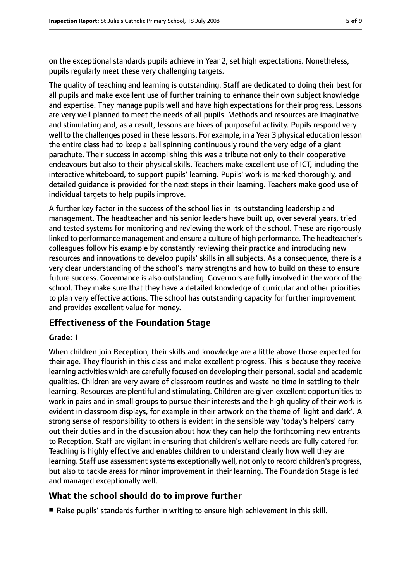on the exceptional standards pupils achieve in Year 2, set high expectations. Nonetheless, pupils regularly meet these very challenging targets.

The quality of teaching and learning is outstanding. Staff are dedicated to doing their best for all pupils and make excellent use of further training to enhance their own subject knowledge and expertise. They manage pupils well and have high expectations for their progress. Lessons are very well planned to meet the needs of all pupils. Methods and resources are imaginative and stimulating and, as a result, lessons are hives of purposeful activity. Pupils respond very well to the challenges posed in these lessons. For example, in a Year 3 physical education lesson the entire class had to keep a ball spinning continuously round the very edge of a giant parachute. Their success in accomplishing this was a tribute not only to their cooperative endeavours but also to their physical skills. Teachers make excellent use of ICT, including the interactive whiteboard, to support pupils' learning. Pupils' work is marked thoroughly, and detailed guidance is provided for the next steps in their learning. Teachers make good use of individual targets to help pupils improve.

A further key factor in the success of the school lies in its outstanding leadership and management. The headteacher and his senior leaders have built up, over several years, tried and tested systems for monitoring and reviewing the work of the school. These are rigorously linked to performance management and ensure a culture of high performance. The headteacher's colleagues follow his example by constantly reviewing their practice and introducing new resources and innovations to develop pupils' skills in all subjects. As a consequence, there is a very clear understanding of the school's many strengths and how to build on these to ensure future success. Governance is also outstanding. Governors are fully involved in the work of the school. They make sure that they have a detailed knowledge of curricular and other priorities to plan very effective actions. The school has outstanding capacity for further improvement and provides excellent value for money.

#### **Effectiveness of the Foundation Stage**

#### **Grade: 1**

When children join Reception, their skills and knowledge are a little above those expected for their age. They flourish in this class and make excellent progress. This is because they receive learning activities which are carefully focused on developing their personal, social and academic qualities. Children are very aware of classroom routines and waste no time in settling to their learning. Resources are plentiful and stimulating. Children are given excellent opportunities to work in pairs and in small groups to pursue their interests and the high quality of their work is evident in classroom displays, for example in their artwork on the theme of 'light and dark'. A strong sense of responsibility to others is evident in the sensible way 'today's helpers' carry out their duties and in the discussion about how they can help the forthcoming new entrants to Reception. Staff are vigilant in ensuring that children's welfare needs are fully catered for. Teaching is highly effective and enables children to understand clearly how well they are learning. Staff use assessment systems exceptionally well, not only to record children's progress, but also to tackle areas for minor improvement in their learning. The Foundation Stage is led and managed exceptionally well.

#### **What the school should do to improve further**

■ Raise pupils' standards further in writing to ensure high achievement in this skill.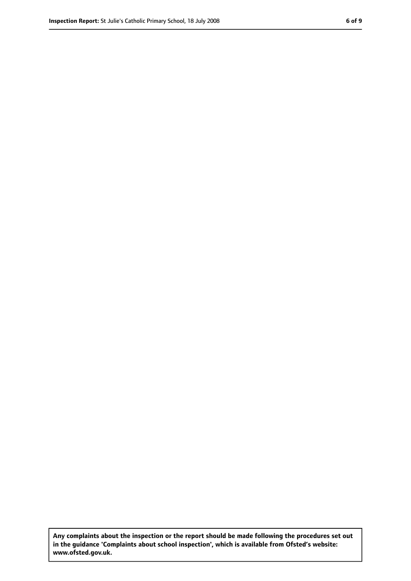**Any complaints about the inspection or the report should be made following the procedures set out in the guidance 'Complaints about school inspection', which is available from Ofsted's website: www.ofsted.gov.uk.**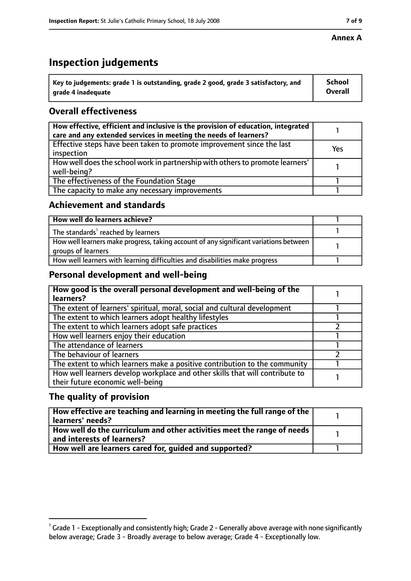#### **Annex A**

## **Inspection judgements**

| $^{\backprime}$ Key to judgements: grade 1 is outstanding, grade 2 good, grade 3 satisfactory, and | School         |
|----------------------------------------------------------------------------------------------------|----------------|
| arade 4 inadeguate                                                                                 | <b>Overall</b> |

## **Overall effectiveness**

| How effective, efficient and inclusive is the provision of education, integrated<br>care and any extended services in meeting the needs of learners? |     |
|------------------------------------------------------------------------------------------------------------------------------------------------------|-----|
| Effective steps have been taken to promote improvement since the last<br>inspection                                                                  | Yes |
| How well does the school work in partnership with others to promote learners'<br>well-being?                                                         |     |
| The effectiveness of the Foundation Stage                                                                                                            |     |
| The capacity to make any necessary improvements                                                                                                      |     |

#### **Achievement and standards**

| How well do learners achieve?                                                                               |  |
|-------------------------------------------------------------------------------------------------------------|--|
| The standards <sup>1</sup> reached by learners                                                              |  |
| How well learners make progress, taking account of any significant variations between<br>groups of learners |  |
| How well learners with learning difficulties and disabilities make progress                                 |  |

#### **Personal development and well-being**

| How good is the overall personal development and well-being of the<br>learners?                                  |  |
|------------------------------------------------------------------------------------------------------------------|--|
| The extent of learners' spiritual, moral, social and cultural development                                        |  |
| The extent to which learners adopt healthy lifestyles                                                            |  |
| The extent to which learners adopt safe practices                                                                |  |
| How well learners enjoy their education                                                                          |  |
| The attendance of learners                                                                                       |  |
| The behaviour of learners                                                                                        |  |
| The extent to which learners make a positive contribution to the community                                       |  |
| How well learners develop workplace and other skills that will contribute to<br>their future economic well-being |  |

## **The quality of provision**

| How effective are teaching and learning in meeting the full range of the<br>learners' needs?          |  |
|-------------------------------------------------------------------------------------------------------|--|
| How well do the curriculum and other activities meet the range of needs<br>and interests of learners? |  |
| How well are learners cared for, quided and supported?                                                |  |

 $^1$  Grade 1 - Exceptionally and consistently high; Grade 2 - Generally above average with none significantly below average; Grade 3 - Broadly average to below average; Grade 4 - Exceptionally low.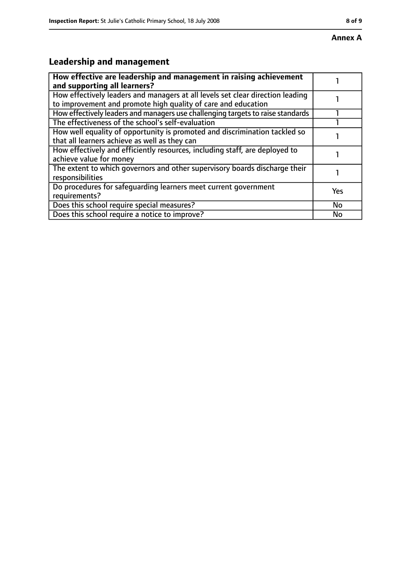# **Leadership and management**

| How effective are leadership and management in raising achievement<br>and supporting all learners?                                              |     |
|-------------------------------------------------------------------------------------------------------------------------------------------------|-----|
| How effectively leaders and managers at all levels set clear direction leading<br>to improvement and promote high quality of care and education |     |
| How effectively leaders and managers use challenging targets to raise standards                                                                 |     |
| The effectiveness of the school's self-evaluation                                                                                               |     |
| How well equality of opportunity is promoted and discrimination tackled so<br>that all learners achieve as well as they can                     |     |
| How effectively and efficiently resources, including staff, are deployed to<br>achieve value for money                                          |     |
| The extent to which governors and other supervisory boards discharge their<br>responsibilities                                                  |     |
| Do procedures for safequarding learners meet current government<br>requirements?                                                                | Yes |
| Does this school require special measures?                                                                                                      | No  |
| Does this school require a notice to improve?                                                                                                   | No  |